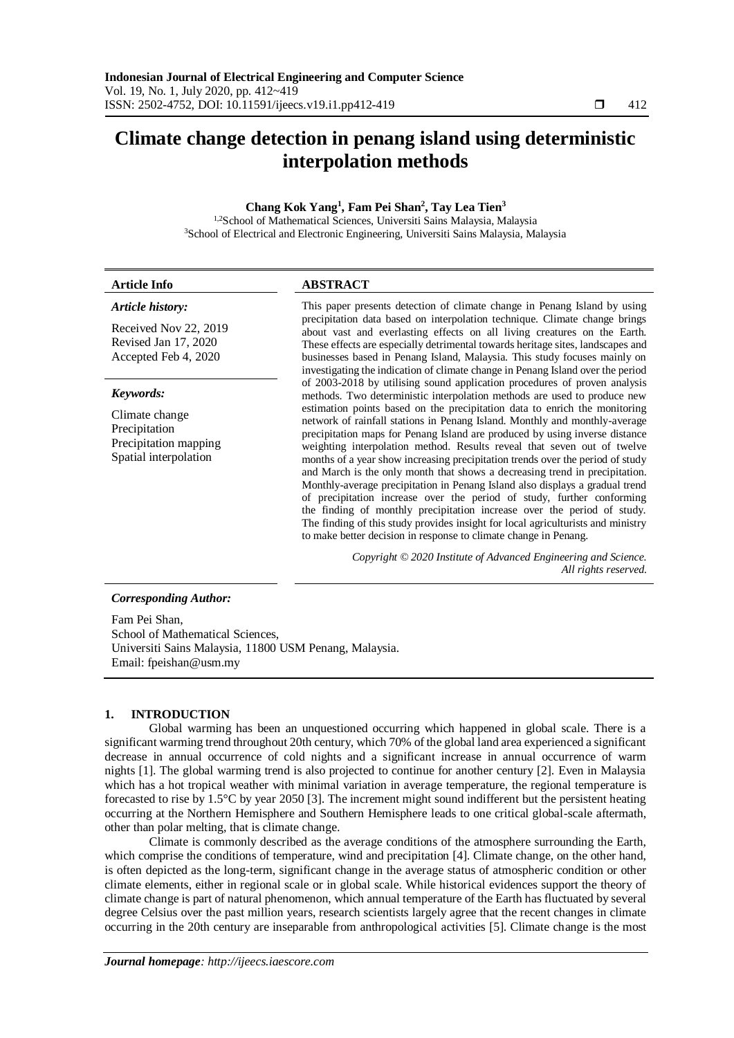# **Climate change detection in penang island using deterministic interpolation methods**

# **Chang Kok Yang<sup>1</sup> , Fam Pei Shan<sup>2</sup> , Tay Lea Tien<sup>3</sup>**

<sup>1,2</sup>School of Mathematical Sciences, Universiti Sains Malaysia, Malaysia <sup>3</sup>School of Electrical and Electronic Engineering, Universiti Sains Malaysia, Malaysia

| <b>Article Info</b>                                                                                                                   | <b>ABSTRACT</b>                                                                                                                                                                                                                                                                                                                                                                                                                                                                                                                                                                                                                                                                                                                                                                                                                                                                                                                                                                                                                           |  |  |
|---------------------------------------------------------------------------------------------------------------------------------------|-------------------------------------------------------------------------------------------------------------------------------------------------------------------------------------------------------------------------------------------------------------------------------------------------------------------------------------------------------------------------------------------------------------------------------------------------------------------------------------------------------------------------------------------------------------------------------------------------------------------------------------------------------------------------------------------------------------------------------------------------------------------------------------------------------------------------------------------------------------------------------------------------------------------------------------------------------------------------------------------------------------------------------------------|--|--|
| Article history:                                                                                                                      | This paper presents detection of climate change in Penang Island by using                                                                                                                                                                                                                                                                                                                                                                                                                                                                                                                                                                                                                                                                                                                                                                                                                                                                                                                                                                 |  |  |
| Received Nov 22, 2019<br>Revised Jan 17, 2020<br>Accepted Feb 4, 2020                                                                 | precipitation data based on interpolation technique. Climate change brings<br>about vast and everlasting effects on all living creatures on the Earth.<br>These effects are especially detrimental towards heritage sites, landscapes and<br>businesses based in Penang Island, Malaysia. This study focuses mainly on<br>investigating the indication of climate change in Penang Island over the period                                                                                                                                                                                                                                                                                                                                                                                                                                                                                                                                                                                                                                 |  |  |
| Keywords:                                                                                                                             | of 2003-2018 by utilising sound application procedures of proven analysis<br>methods. Two deterministic interpolation methods are used to produce new<br>estimation points based on the precipitation data to enrich the monitoring<br>network of rainfall stations in Penang Island. Monthly and monthly-average<br>precipitation maps for Penang Island are produced by using inverse distance<br>weighting interpolation method. Results reveal that seven out of twelve<br>months of a year show increasing precipitation trends over the period of study<br>and March is the only month that shows a decreasing trend in precipitation.<br>Monthly-average precipitation in Penang Island also displays a gradual trend<br>of precipitation increase over the period of study, further conforming<br>the finding of monthly precipitation increase over the period of study.<br>The finding of this study provides insight for local agriculturists and ministry<br>to make better decision in response to climate change in Penang. |  |  |
| Climate change<br>Precipitation<br>Precipitation mapping<br>Spatial interpolation                                                     |                                                                                                                                                                                                                                                                                                                                                                                                                                                                                                                                                                                                                                                                                                                                                                                                                                                                                                                                                                                                                                           |  |  |
|                                                                                                                                       | Copyright © 2020 Institute of Advanced Engineering and Science.<br>All rights reserved.                                                                                                                                                                                                                                                                                                                                                                                                                                                                                                                                                                                                                                                                                                                                                                                                                                                                                                                                                   |  |  |
| <b>Corresponding Author:</b>                                                                                                          |                                                                                                                                                                                                                                                                                                                                                                                                                                                                                                                                                                                                                                                                                                                                                                                                                                                                                                                                                                                                                                           |  |  |
| Fam Pei Shan,<br>School of Mathematical Sciences,<br>Universiti Sains Malaysia, 11800 USM Penang, Malaysia.<br>Email: fpeishan@usm.my |                                                                                                                                                                                                                                                                                                                                                                                                                                                                                                                                                                                                                                                                                                                                                                                                                                                                                                                                                                                                                                           |  |  |

## **1. INTRODUCTION**

Global warming has been an unquestioned occurring which happened in global scale. There is a significant warming trend throughout 20th century, which 70% of the global land area experienced a significant decrease in annual occurrence of cold nights and a significant increase in annual occurrence of warm nights [1]. The global warming trend is also projected to continue for another century [2]. Even in Malaysia which has a hot tropical weather with minimal variation in average temperature, the regional temperature is forecasted to rise by 1.5°C by year 2050 [3]. The increment might sound indifferent but the persistent heating occurring at the Northern Hemisphere and Southern Hemisphere leads to one critical global-scale aftermath, other than polar melting, that is climate change.

Climate is commonly described as the average conditions of the atmosphere surrounding the Earth, which comprise the conditions of temperature, wind and precipitation [4]. Climate change, on the other hand, is often depicted as the long-term, significant change in the average status of atmospheric condition or other climate elements, either in regional scale or in global scale. While historical evidences support the theory of climate change is part of natural phenomenon, which annual temperature of the Earth has fluctuated by several degree Celsius over the past million years, research scientists largely agree that the recent changes in climate occurring in the 20th century are inseparable from anthropological activities [5]. Climate change is the most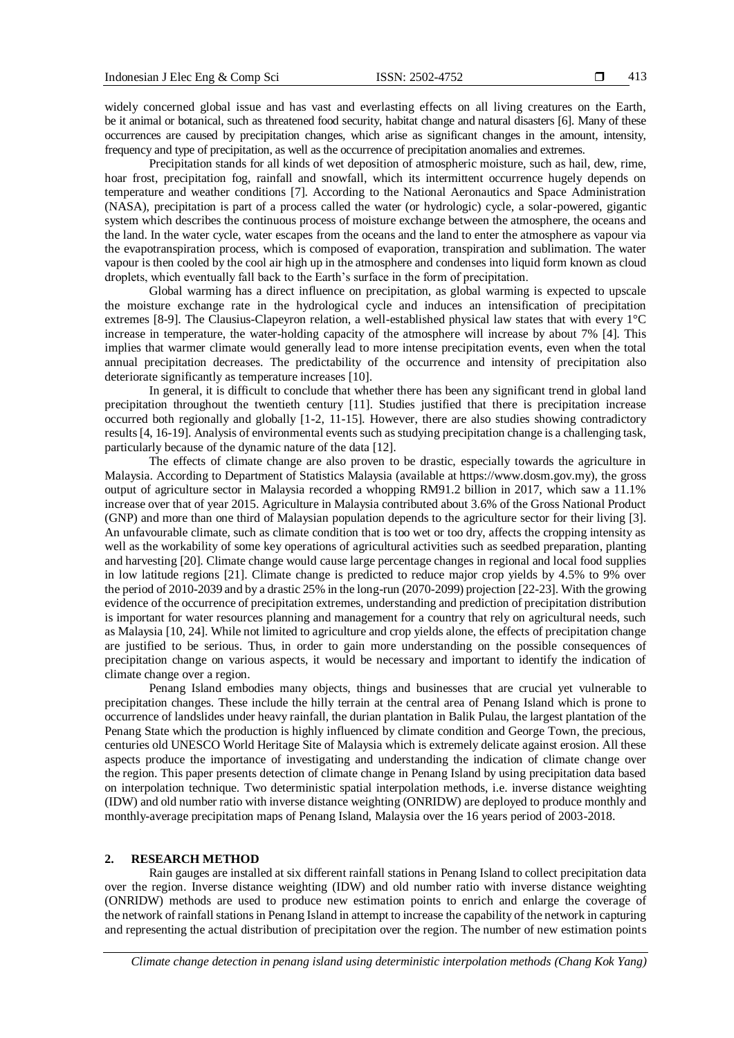widely concerned global issue and has vast and everlasting effects on all living creatures on the Earth, be it animal or botanical, such as threatened food security, habitat change and natural disasters [6]. Many of these occurrences are caused by precipitation changes, which arise as significant changes in the amount, intensity, frequency and type of precipitation, as well as the occurrence of precipitation anomalies and extremes.

Precipitation stands for all kinds of wet deposition of atmospheric moisture, such as hail, dew, rime, hoar frost, precipitation fog, rainfall and snowfall, which its intermittent occurrence hugely depends on temperature and weather conditions [7]. According to the National Aeronautics and Space Administration (NASA), precipitation is part of a process called the water (or hydrologic) cycle, a solar-powered, gigantic system which describes the continuous process of moisture exchange between the atmosphere, the oceans and the land. In the water cycle, water escapes from the oceans and the land to enter the atmosphere as vapour via the evapotranspiration process, which is composed of evaporation, transpiration and sublimation. The water vapour is then cooled by the cool air high up in the atmosphere and condenses into liquid form known as cloud droplets, which eventually fall back to the Earth's surface in the form of precipitation.

Global warming has a direct influence on precipitation, as global warming is expected to upscale the moisture exchange rate in the hydrological cycle and induces an intensification of precipitation extremes [8-9]. The Clausius-Clapeyron relation, a well-established physical law states that with every 1°C increase in temperature, the water-holding capacity of the atmosphere will increase by about 7% [4]. This implies that warmer climate would generally lead to more intense precipitation events, even when the total annual precipitation decreases. The predictability of the occurrence and intensity of precipitation also deteriorate significantly as temperature increases [10].

In general, it is difficult to conclude that whether there has been any significant trend in global land precipitation throughout the twentieth century [11]. Studies justified that there is precipitation increase occurred both regionally and globally [1-2, 11-15]. However, there are also studies showing contradictory results [4, 16-19]. Analysis of environmental events such as studying precipitation change is a challenging task, particularly because of the dynamic nature of the data [12].

The effects of climate change are also proven to be drastic, especially towards the agriculture in Malaysia. According to Department of Statistics Malaysia (available at https://www.dosm.gov.my), the gross output of agriculture sector in Malaysia recorded a whopping RM91.2 billion in 2017, which saw a 11.1% increase over that of year 2015. Agriculture in Malaysia contributed about 3.6% of the Gross National Product (GNP) and more than one third of Malaysian population depends to the agriculture sector for their living [3]. An unfavourable climate, such as climate condition that is too wet or too dry, affects the cropping intensity as well as the workability of some key operations of agricultural activities such as seedbed preparation, planting and harvesting [20]. Climate change would cause large percentage changes in regional and local food supplies in low latitude regions [21]. Climate change is predicted to reduce major crop yields by 4.5% to 9% over the period of 2010-2039 and by a drastic 25% in the long-run (2070-2099) projection [22-23]. With the growing evidence of the occurrence of precipitation extremes, understanding and prediction of precipitation distribution is important for water resources planning and management for a country that rely on agricultural needs, such as Malaysia [10, 24]. While not limited to agriculture and crop yields alone, the effects of precipitation change are justified to be serious. Thus, in order to gain more understanding on the possible consequences of precipitation change on various aspects, it would be necessary and important to identify the indication of climate change over a region.

Penang Island embodies many objects, things and businesses that are crucial yet vulnerable to precipitation changes. These include the hilly terrain at the central area of Penang Island which is prone to occurrence of landslides under heavy rainfall, the durian plantation in Balik Pulau, the largest plantation of the Penang State which the production is highly influenced by climate condition and George Town, the precious, centuries old UNESCO World Heritage Site of Malaysia which is extremely delicate against erosion. All these aspects produce the importance of investigating and understanding the indication of climate change over the region. This paper presents detection of climate change in Penang Island by using precipitation data based on interpolation technique. Two deterministic spatial interpolation methods, i.e. inverse distance weighting (IDW) and old number ratio with inverse distance weighting (ONRIDW) are deployed to produce monthly and monthly-average precipitation maps of Penang Island, Malaysia over the 16 years period of 2003-2018.

### **2. RESEARCH METHOD**

Rain gauges are installed at six different rainfall stations in Penang Island to collect precipitation data over the region. Inverse distance weighting (IDW) and old number ratio with inverse distance weighting (ONRIDW) methods are used to produce new estimation points to enrich and enlarge the coverage of the network of rainfall stations in Penang Island in attempt to increase the capability of the network in capturing and representing the actual distribution of precipitation over the region. The number of new estimation points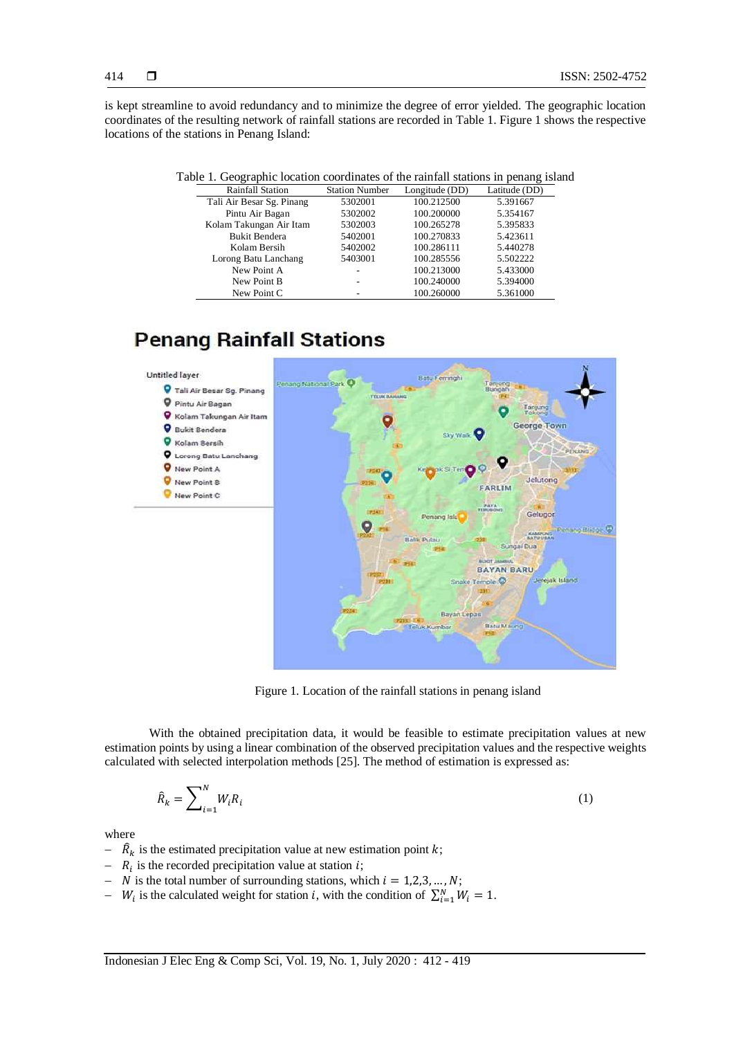is kept streamline to avoid redundancy and to minimize the degree of error yielded. The geographic location coordinates of the resulting network of rainfall stations are recorded in Table 1. Figure 1 shows the respective locations of the stations in Penang Island:

| . .                       |                       |                | ັ             |
|---------------------------|-----------------------|----------------|---------------|
| <b>Rainfall Station</b>   | <b>Station Number</b> | Longitude (DD) | Latitude (DD) |
| Tali Air Besar Sg. Pinang | 5302001               | 100.212500     | 5.391667      |
| Pintu Air Bagan           | 5302002               | 100.200000     | 5.354167      |
| Kolam Takungan Air Itam   | 5302003               | 100.265278     | 5.395833      |
| <b>Bukit Bendera</b>      | 5402001               | 100.270833     | 5.423611      |
| Kolam Bersih              | 5402002               | 100.286111     | 5.440278      |
| Lorong Batu Lanchang      | 5403001               | 100.285556     | 5.502222      |
| New Point A               |                       | 100.213000     | 5.433000      |
| New Point B               |                       | 100.240000     | 5.394000      |
| New Point C               |                       | 100.260000     | 5.361000      |

# **Penang Rainfall Stations**



Figure 1. Location of the rainfall stations in penang island

With the obtained precipitation data, it would be feasible to estimate precipitation values at new estimation points by using a linear combination of the observed precipitation values and the respective weights calculated with selected interpolation methods [25]. The method of estimation is expressed as:

$$
\hat{R}_k = \sum_{i=1}^N W_i R_i \tag{1}
$$

where

- $\hat{R}_k$  is the estimated precipitation value at new estimation point k;
- $R_i$  is the recorded precipitation value at station *i*;
- N is the total number of surrounding stations, which  $i = 1,2,3,...,N$ ;
- $\cdots$   $W_i$  is the calculated weight for station *i*, with the condition of  $\sum_{i=1}^{N} W_i = 1$ .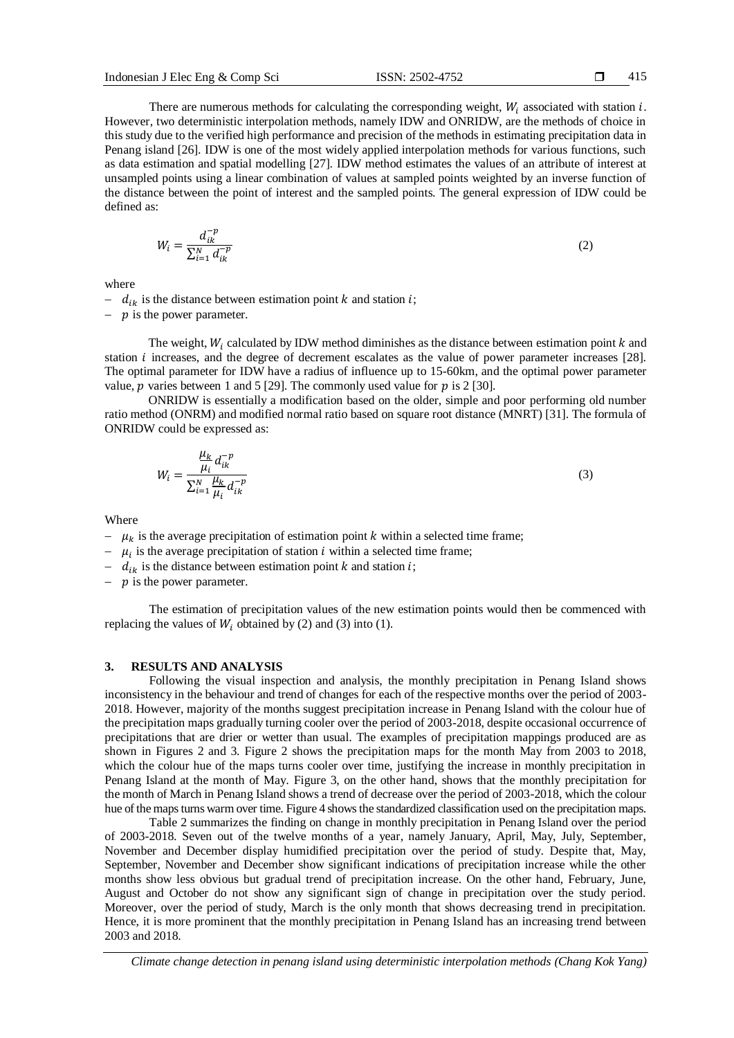−−m

There are numerous methods for calculating the corresponding weight,  $W_i$  associated with station i. However, two deterministic interpolation methods, namely IDW and ONRIDW, are the methods of choice in this study due to the verified high performance and precision of the methods in estimating precipitation data in Penang island [26]. IDW is one of the most widely applied interpolation methods for various functions, such as data estimation and spatial modelling [27]. IDW method estimates the values of an attribute of interest at unsampled points using a linear combination of values at sampled points weighted by an inverse function of the distance between the point of interest and the sampled points. The general expression of IDW could be defined as:

$$
W_i = \frac{d_{ik}^{-p}}{\sum_{i=1}^{N} d_{ik}^{-p}}
$$
 (2)

where

 $- d_{ik}$  is the distance between estimation point k and station i;

-  $p$  is the power parameter.

The weight,  $W_i$  calculated by IDW method diminishes as the distance between estimation point  $k$  and station *i* increases, and the degree of decrement escalates as the value of power parameter increases [28]. The optimal parameter for IDW have a radius of influence up to 15-60km, and the optimal power parameter value,  $p$  varies between 1 and 5 [29]. The commonly used value for  $p$  is 2 [30].

ONRIDW is essentially a modification based on the older, simple and poor performing old number ratio method (ONRM) and modified normal ratio based on square root distance (MNRT) [31]. The formula of ONRIDW could be expressed as:

$$
W_i = \frac{\frac{\mu_k}{\mu_i} d_{ik}^{-p}}{\sum_{i=1}^N \frac{\mu_k}{\mu_i} d_{ik}^{-p}}
$$
(3)

Where

- $\mu_k$  is the average precipitation of estimation point k within a selected time frame;
- $\mu_i$  is the average precipitation of station *i* within a selected time frame;
- $d_{ik}$  is the distance between estimation point k and station i;
- $-p$  is the power parameter.

The estimation of precipitation values of the new estimation points would then be commenced with replacing the values of  $W_i$  obtained by (2) and (3) into (1).

#### **3. RESULTS AND ANALYSIS**

Following the visual inspection and analysis, the monthly precipitation in Penang Island shows inconsistency in the behaviour and trend of changes for each of the respective months over the period of 2003- 2018. However, majority of the months suggest precipitation increase in Penang Island with the colour hue of the precipitation maps gradually turning cooler over the period of 2003-2018, despite occasional occurrence of precipitations that are drier or wetter than usual. The examples of precipitation mappings produced are as shown in Figures 2 and 3. Figure 2 shows the precipitation maps for the month May from 2003 to 2018, which the colour hue of the maps turns cooler over time, justifying the increase in monthly precipitation in Penang Island at the month of May. Figure 3, on the other hand, shows that the monthly precipitation for the month of March in Penang Island shows a trend of decrease over the period of 2003-2018, which the colour hue of the maps turns warm over time. Figure 4 shows the standardized classification used on the precipitation maps.

Table 2 summarizes the finding on change in monthly precipitation in Penang Island over the period of 2003-2018. Seven out of the twelve months of a year, namely January, April, May, July, September, November and December display humidified precipitation over the period of study. Despite that, May, September, November and December show significant indications of precipitation increase while the other months show less obvious but gradual trend of precipitation increase. On the other hand, February, June, August and October do not show any significant sign of change in precipitation over the study period. Moreover, over the period of study, March is the only month that shows decreasing trend in precipitation. Hence, it is more prominent that the monthly precipitation in Penang Island has an increasing trend between 2003 and 2018.

*Climate change detection in penang island using deterministic interpolation methods (Chang Kok Yang)*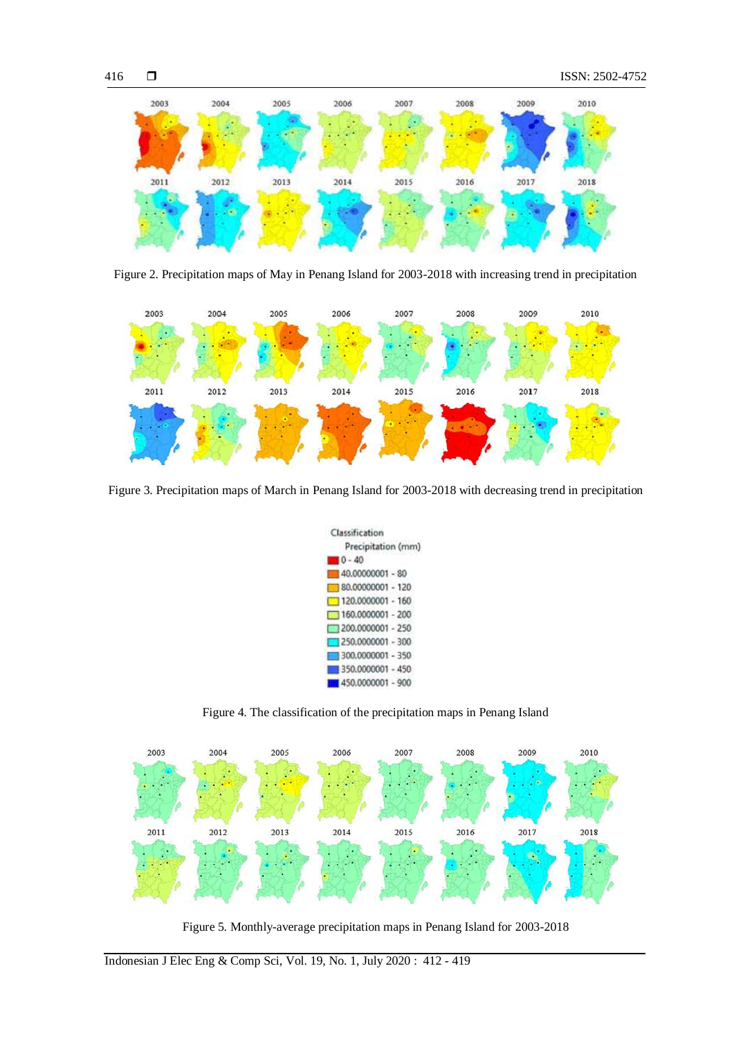





Figure 3. Precipitation maps of March in Penang Island for 2003-2018 with decreasing trend in precipitation



Figure 4. The classification of the precipitation maps in Penang Island



Figure 5. Monthly-average precipitation maps in Penang Island for 2003-2018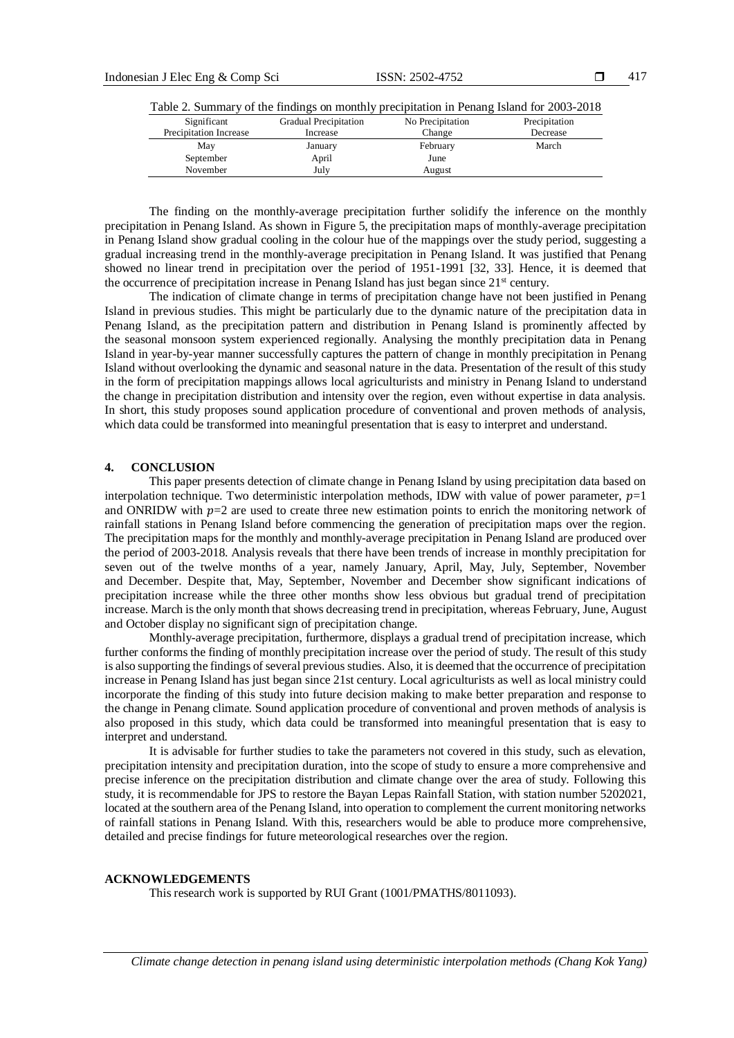| Significant            | <b>Gradual Precipitation</b> | No Precipitation | Precipitation |
|------------------------|------------------------------|------------------|---------------|
| Precipitation Increase | Increase                     | Change           | Decrease      |
| May                    | January                      | February         | March         |
| September              | April                        | June             |               |
| November               | Julv                         | August           |               |
|                        |                              |                  |               |

Table 2. Summary of the findings on monthly precipitation in Penang Island for 2003-2018

The finding on the monthly-average precipitation further solidify the inference on the monthly precipitation in Penang Island. As shown in Figure 5, the precipitation maps of monthly-average precipitation in Penang Island show gradual cooling in the colour hue of the mappings over the study period, suggesting a gradual increasing trend in the monthly-average precipitation in Penang Island. It was justified that Penang showed no linear trend in precipitation over the period of 1951-1991 [32, 33]. Hence, it is deemed that the occurrence of precipitation increase in Penang Island has just began since  $21<sup>st</sup>$  century.

The indication of climate change in terms of precipitation change have not been justified in Penang Island in previous studies. This might be particularly due to the dynamic nature of the precipitation data in Penang Island, as the precipitation pattern and distribution in Penang Island is prominently affected by the seasonal monsoon system experienced regionally. Analysing the monthly precipitation data in Penang Island in year-by-year manner successfully captures the pattern of change in monthly precipitation in Penang Island without overlooking the dynamic and seasonal nature in the data. Presentation of the result of this study in the form of precipitation mappings allows local agriculturists and ministry in Penang Island to understand the change in precipitation distribution and intensity over the region, even without expertise in data analysis. In short, this study proposes sound application procedure of conventional and proven methods of analysis, which data could be transformed into meaningful presentation that is easy to interpret and understand.

#### **4. CONCLUSION**

This paper presents detection of climate change in Penang Island by using precipitation data based on interpolation technique. Two deterministic interpolation methods, IDW with value of power parameter,  $p=1$ and ONRIDW with  $p=2$  are used to create three new estimation points to enrich the monitoring network of rainfall stations in Penang Island before commencing the generation of precipitation maps over the region. The precipitation maps for the monthly and monthly-average precipitation in Penang Island are produced over the period of 2003-2018. Analysis reveals that there have been trends of increase in monthly precipitation for seven out of the twelve months of a year, namely January, April, May, July, September, November and December. Despite that, May, September, November and December show significant indications of precipitation increase while the three other months show less obvious but gradual trend of precipitation increase. March is the only month that shows decreasing trend in precipitation, whereas February, June, August and October display no significant sign of precipitation change.

Monthly-average precipitation, furthermore, displays a gradual trend of precipitation increase, which further conforms the finding of monthly precipitation increase over the period of study. The result of this study is also supporting the findings of several previous studies. Also, it is deemed that the occurrence of precipitation increase in Penang Island has just began since 21st century. Local agriculturists as well as local ministry could incorporate the finding of this study into future decision making to make better preparation and response to the change in Penang climate. Sound application procedure of conventional and proven methods of analysis is also proposed in this study, which data could be transformed into meaningful presentation that is easy to interpret and understand.

It is advisable for further studies to take the parameters not covered in this study, such as elevation, precipitation intensity and precipitation duration, into the scope of study to ensure a more comprehensive and precise inference on the precipitation distribution and climate change over the area of study. Following this study, it is recommendable for JPS to restore the Bayan Lepas Rainfall Station, with station number 5202021, located at the southern area of the Penang Island, into operation to complement the current monitoring networks of rainfall stations in Penang Island. With this, researchers would be able to produce more comprehensive, detailed and precise findings for future meteorological researches over the region.

#### **ACKNOWLEDGEMENTS**

This research work is supported by RUI Grant (1001/PMATHS/8011093).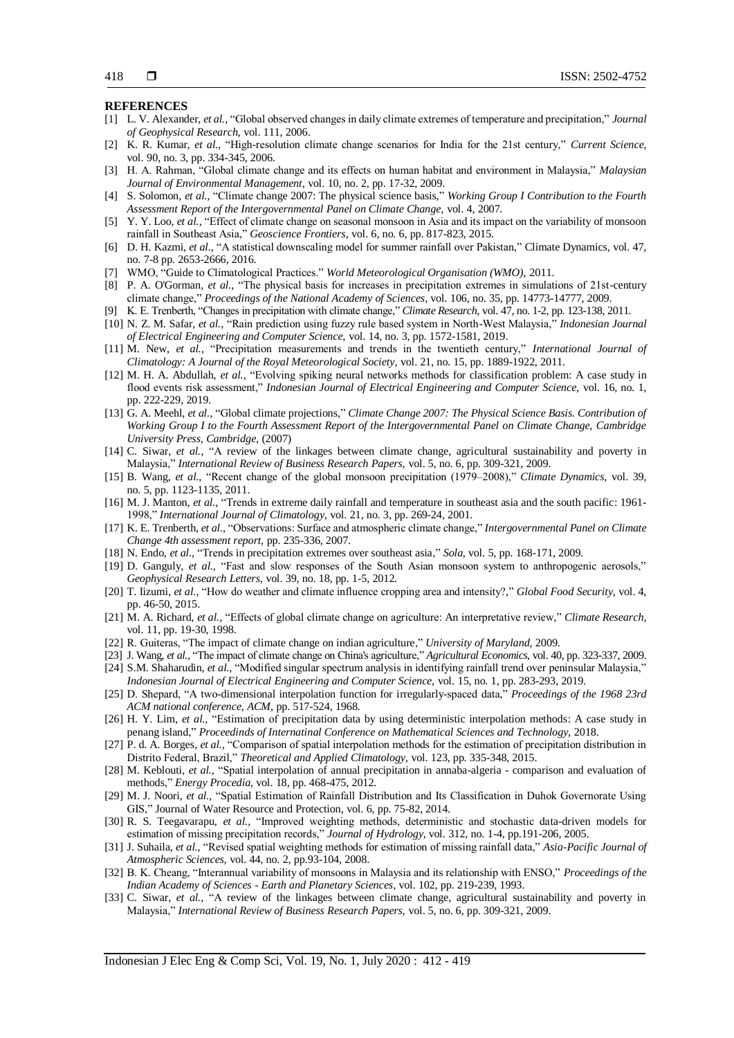#### **REFERENCES**

- [1] L. V. Alexander, *et al.,* "Global observed changes in daily climate extremes of temperature and precipitation," *Journal of Geophysical Research,* vol. 111, 2006.
- [2] K. R. Kumar, *et al.,* "High-resolution climate change scenarios for India for the 21st century," *Current Science,* vol. 90, no. 3, pp. 334-345, 2006.
- [3] H. A. Rahman, "Global climate change and its effects on human habitat and environment in Malaysia," *Malaysian Journal of Environmental Management,* vol. 10, no. 2, pp. 17-32, 2009.
- [4] S. Solomon, *et al.,* "Climate change 2007: The physical science basis," *Working Group I Contribution to the Fourth Assessment Report of the Intergovernmental Panel on Climate Change,* vol. 4, 2007.
- [5] Y. Y. Loo, *et al.,* "Effect of climate change on seasonal monsoon in Asia and its impact on the variability of monsoon rainfall in Southeast Asia," *Geoscience Frontiers,* vol. 6, no. 6, pp. 817-823, 2015.
- [6] D. H. Kazmi, *et al.,* "A statistical downscaling model for summer rainfall over Pakistan," Climate Dynamics, vol. 47, no. 7-8 pp. 2653-2666, 2016.
- [7] WMO, "Guide to Climatological Practices." *World Meteorological Organisation (WMO),* 2011.
- [8] P. A. O'Gorman, *et al.,* "The physical basis for increases in precipitation extremes in simulations of 21st-century climate change," *Proceedings of the National Academy of Sciences,* vol. 106, no. 35, pp. 14773-14777, 2009.
- [9] K. E. Trenberth, "Changes in precipitation with climate change," *Climate Research,* vol. 47, no. 1-2, pp. 123-138, 2011.
- [10] N. Z. M. Safar, *et al.,* "Rain prediction using fuzzy rule based system in North-West Malaysia," *Indonesian Journal of Electrical Engineering and Computer Science,* vol. 14, no. 3, pp. 1572-1581, 2019.
- [11] M. New, *et al.,* "Precipitation measurements and trends in the twentieth century," *International Journal of Climatology: A Journal of the Royal Meteorological Society,* vol. 21, no. 15, pp. 1889-1922, 2011.
- [12] M. H. A. Abdullah, *et al.,* "Evolving spiking neural networks methods for classification problem: A case study in flood events risk assessment," *Indonesian Journal of Electrical Engineering and Computer Science,* vol. 16, no. 1, pp. 222-229, 2019.
- [13] G. A. Meehl, *et al.,* "Global climate projections," *Climate Change 2007: The Physical Science Basis. Contribution of Working Group I to the Fourth Assessment Report of the Intergovernmental Panel on Climate Change, Cambridge University Press, Cambridge,* (2007)
- [14] C. Siwar, *et al.,* "A review of the linkages between climate change, agricultural sustainability and poverty in Malaysia," *International Review of Business Research Papers,* vol. 5, no. 6, pp. 309-321, 2009.
- [15] B. Wang, *et al.,* "Recent change of the global monsoon precipitation (1979–2008)," *Climate Dynamics,* vol. 39, no. 5, pp. 1123-1135, 2011.
- [16] M. J. Manton, *et al.,* "Trends in extreme daily rainfall and temperature in southeast asia and the south pacific: 1961- 1998," *International Journal of Climatology,* vol. 21, no. 3, pp. 269-24, 2001.
- [17] K. E. Trenberth, *et al.,* "Observations: Surface and atmospheric climate change," *Intergovernmental Panel on Climate Change 4th assessment report,* pp. 235-336, 2007.
- [18] N. Endo, *et al.,* "Trends in precipitation extremes over southeast asia," *Sola,* vol. 5, pp. 168-171, 2009.
- [19] D. Ganguly, *et al.,* "Fast and slow responses of the South Asian monsoon system to anthropogenic aerosols," *Geophysical Research Letters,* vol. 39, no. 18, pp. 1-5, 2012.
- [20] T. Iizumi, *et al.,* "How do weather and climate influence cropping area and intensity?," *Global Food Security,* vol. 4, pp. 46-50, 2015.
- [21] M. A. Richard, *et al.,* "Effects of global climate change on agriculture: An interpretative review," *Climate Research,* vol. 11, pp. 19-30, 1998.
- [22] R. Guiteras, "The impact of climate change on indian agriculture," *University of Maryland,* 2009.
- [23] J. Wang, *et al.,* "The impact of climate change on China's agriculture," *Agricultural Economics,* vol. 40, pp. 323-337, 2009.
- [24] S.M. Shaharudin, *et al.,* "Modified singular spectrum analysis in identifying rainfall trend over peninsular Malaysia," *Indonesian Journal of Electrical Engineering and Computer Science,* vol. 15, no. 1, pp. 283-293, 2019.
- [25] D. Shepard, "A two-dimensional interpolation function for irregularly-spaced data," *Proceedings of the 1968 23rd ACM national conference, ACM,* pp. 517-524, 1968.
- [26] H. Y. Lim, *et al.,* "Estimation of precipitation data by using deterministic interpolation methods: A case study in penang island," *Proceedinds of Internatinal Conference on Mathematical Sciences and Technology,* 2018.
- [27] P. d. A. Borges, *et al.,* "Comparison of spatial interpolation methods for the estimation of precipitation distribution in Distrito Federal, Brazil," *Theoretical and Applied Climatology,* vol. 123, pp. 335-348, 2015.
- [28] M. Keblouti, *et al.,* "Spatial interpolation of annual precipitation in annaba-algeria comparison and evaluation of methods," *Energy Procedia,* vol. 18, pp. 468-475, 2012.
- [29] M. J. Noori, *et al.,* "Spatial Estimation of Rainfall Distribution and Its Classification in Duhok Governorate Using GIS," Journal of Water Resource and Protection, vol. 6, pp. 75-82, 2014.
- [30] R. S. Teegavarapu, *et al.,* "Improved weighting methods, deterministic and stochastic data-driven models for estimation of missing precipitation records," *Journal of Hydrology,* vol. 312, no. 1-4, pp.191-206, 2005.
- [31] J. Suhaila, *et al.,* "Revised spatial weighting methods for estimation of missing rainfall data," *Asia-Pacific Journal of Atmospheric Sciences,* vol. 44, no. 2, pp.93-104, 2008.
- [32] B. K. Cheang, "Interannual variability of monsoons in Malaysia and its relationship with ENSO," *Proceedings of the Indian Academy of Sciences - Earth and Planetary Sciences,* vol. 102, pp. 219-239, 1993.
- [33] C. Siwar, *et al.,* "A review of the linkages between climate change, agricultural sustainability and poverty in Malaysia," *International Review of Business Research Papers,* vol. 5, no. 6, pp. 309-321, 2009.